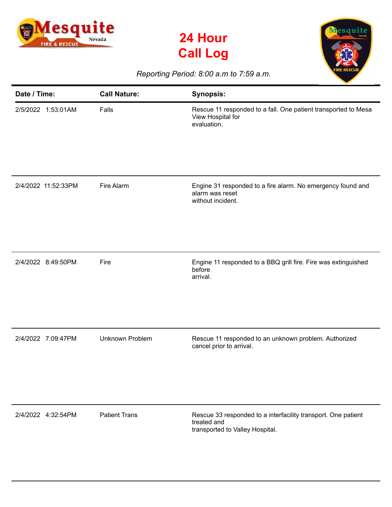





## *Reporting Period: 8:00 a.m to 7:59 a.m.*

| Date / Time:        | <b>Call Nature:</b>    | <b>Synopsis:</b>                                                                                                |
|---------------------|------------------------|-----------------------------------------------------------------------------------------------------------------|
| 2/5/2022 1:53:01AM  | Falls                  | Rescue 11 responded to a fall. One patient transported to Mesa<br>View Hospital for<br>evaluation.              |
| 2/4/2022 11:52:33PM | Fire Alarm             | Engine 31 responded to a fire alarm. No emergency found and<br>alarm was reset<br>without incident.             |
| 2/4/2022 8:49:50PM  | Fire                   | Engine 11 responded to a BBQ grill fire. Fire was extinguished<br>before<br>arrival.                            |
| 2/4/2022 7:09:47PM  | <b>Unknown Problem</b> | Rescue 11 responded to an unknown problem. Authorized<br>cancel prior to arrival.                               |
| 2/4/2022 4:32:54PM  | <b>Patient Trans</b>   | Rescue 33 responded to a interfacility transport. One patient<br>treated and<br>transported to Valley Hospital. |